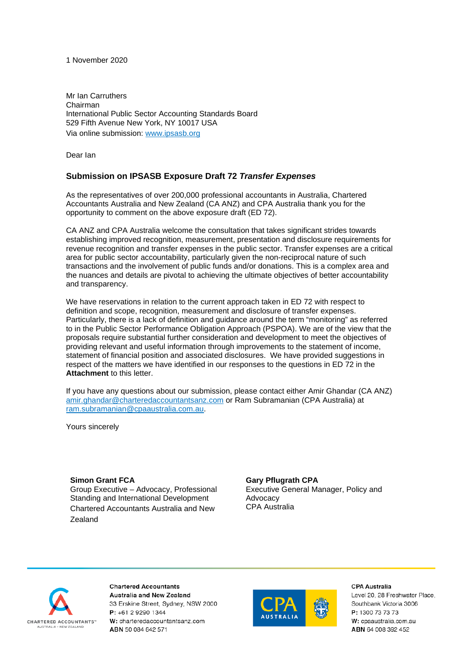#### 1 November 2020

Mr Ian Carruthers Chairman International Public Sector Accounting Standards Board 529 Fifth Avenue New York, NY 10017 USA Via online submission: [www.ipsasb.org](http://www.ipsasb.org/)

Dear Ian

# **Submission on IPSASB Exposure Draft 72** *Transfer Expenses*

As the representatives of over 200,000 professional accountants in Australia, Chartered Accountants Australia and New Zealand (CA ANZ) and CPA Australia thank you for the opportunity to comment on the above exposure draft (ED 72).

CA ANZ and CPA Australia welcome the consultation that takes significant strides towards establishing improved recognition, measurement, presentation and disclosure requirements for revenue recognition and transfer expenses in the public sector. Transfer expenses are a critical area for public sector accountability, particularly given the non-reciprocal nature of such transactions and the involvement of public funds and/or donations. This is a complex area and the nuances and details are pivotal to achieving the ultimate objectives of better accountability and transparency.

We have reservations in relation to the current approach taken in ED 72 with respect to definition and scope, recognition, measurement and disclosure of transfer expenses. Particularly, there is a lack of definition and guidance around the term "monitoring" as referred to in the Public Sector Performance Obligation Approach (PSPOA). We are of the view that the proposals require substantial further consideration and development to meet the objectives of providing relevant and useful information through improvements to the statement of income, statement of financial position and associated disclosures. We have provided suggestions in respect of the matters we have identified in our responses to the questions in ED 72 in the **Attachment** to this letter.

If you have any questions about our submission, please contact either Amir Ghandar (CA ANZ) [amir.ghandar@charteredaccountantsanz.com](mailto:amir.ghandar@charteredaccountantsanz.com) or Ram Subramanian (CPA Australia) at [ram.subramanian@cpaaustralia.com.au.](mailto:ram.subramanian@cpaaustralia.com.au)

Yours sincerely

**Simon Grant FCA**

Group Executive – Advocacy, Professional Standing and International Development Chartered Accountants Australia and New Zealand

### **Gary Pflugrath CPA**

Executive General Manager, Policy and Advocacy CPA Australia



**Chartered Accountants** Australia and New Zealand 33 Erskine Street, Sydney, NSW 2000 P: +61 2 9290 1344 W: charteredaccountantsanz.com ABN 50 084 642 571



#### CPA Australia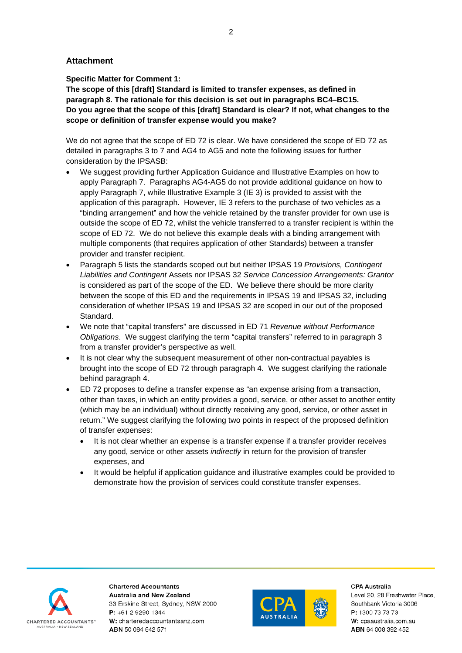## **Attachment**

**Specific Matter for Comment 1:** 

**The scope of this [draft] Standard is limited to transfer expenses, as defined in paragraph 8. The rationale for this decision is set out in paragraphs BC4–BC15. Do you agree that the scope of this [draft] Standard is clear? If not, what changes to the scope or definition of transfer expense would you make?** 

We do not agree that the scope of ED 72 is clear. We have considered the scope of ED 72 as detailed in paragraphs 3 to 7 and AG4 to AG5 and note the following issues for further consideration by the IPSASB:

- We suggest providing further Application Guidance and Illustrative Examples on how to apply Paragraph 7. Paragraphs AG4-AG5 do not provide additional guidance on how to apply Paragraph 7, while Illustrative Example 3 (IE 3) is provided to assist with the application of this paragraph. However, IE 3 refers to the purchase of two vehicles as a "binding arrangement" and how the vehicle retained by the transfer provider for own use is outside the scope of ED 72, whilst the vehicle transferred to a transfer recipient is within the scope of ED 72. We do not believe this example deals with a binding arrangement with multiple components (that requires application of other Standards) between a transfer provider and transfer recipient.
- Paragraph 5 lists the standards scoped out but neither IPSAS 19 *Provisions, Contingent Liabilities and Contingent* Assets nor IPSAS 32 *Service Concession Arrangements: Grantor*  is considered as part of the scope of the ED. We believe there should be more clarity between the scope of this ED and the requirements in IPSAS 19 and IPSAS 32, including consideration of whether IPSAS 19 and IPSAS 32 are scoped in our out of the proposed Standard.
- We note that "capital transfers" are discussed in ED 71 *Revenue without Performance Obligations*. We suggest clarifying the term "capital transfers" referred to in paragraph 3 from a transfer provider's perspective as well.
- It is not clear why the subsequent measurement of other non-contractual payables is brought into the scope of ED 72 through paragraph 4. We suggest clarifying the rationale behind paragraph 4.
- ED 72 proposes to define a transfer expense as "an expense arising from a transaction, other than taxes, in which an entity provides a good, service, or other asset to another entity (which may be an individual) without directly receiving any good, service, or other asset in return." We suggest clarifying the following two points in respect of the proposed definition of transfer expenses:
	- It is not clear whether an expense is a transfer expense if a transfer provider receives any good, service or other assets *indirectly* in return for the provision of transfer expenses, and
	- It would be helpful if application guidance and illustrative examples could be provided to demonstrate how the provision of services could constitute transfer expenses.



**Chartered Accountants Australia and New Zealand** 33 Erskine Street, Sydney, NSW 2000 P: +61 2 9290 1344 W: charteredaccountantsanz.com ABN 50 084 642 571



**CPA Australia**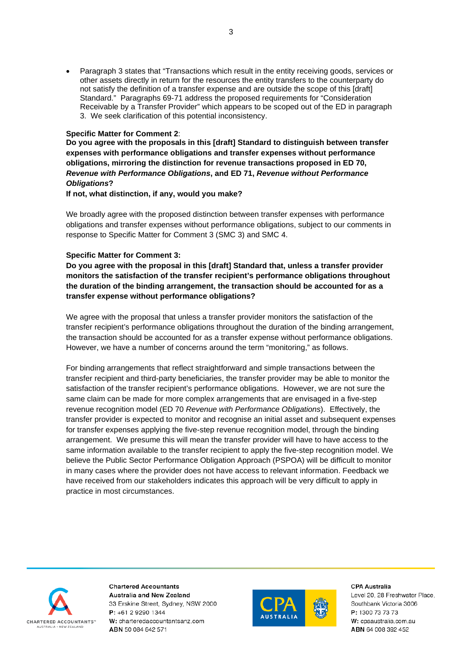• Paragraph 3 states that "Transactions which result in the entity receiving goods, services or other assets directly in return for the resources the entity transfers to the counterparty do not satisfy the definition of a transfer expense and are outside the scope of this [draft] Standard." Paragraphs 69-71 address the proposed requirements for "Consideration Receivable by a Transfer Provider" which appears to be scoped out of the ED in paragraph 3. We seek clarification of this potential inconsistency.

#### **Specific Matter for Comment 2**:

**Do you agree with the proposals in this [draft] Standard to distinguish between transfer expenses with performance obligations and transfer expenses without performance obligations, mirroring the distinction for revenue transactions proposed in ED 70,**  *Revenue with Performance Obligations***, and ED 71,** *Revenue without Performance Obligations***?** 

#### **If not, what distinction, if any, would you make?**

We broadly agree with the proposed distinction between transfer expenses with performance obligations and transfer expenses without performance obligations, subject to our comments in response to Specific Matter for Comment 3 (SMC 3) and SMC 4.

### **Specific Matter for Comment 3:**

**Do you agree with the proposal in this [draft] Standard that, unless a transfer provider monitors the satisfaction of the transfer recipient's performance obligations throughout the duration of the binding arrangement, the transaction should be accounted for as a transfer expense without performance obligations?** 

We agree with the proposal that unless a transfer provider monitors the satisfaction of the transfer recipient's performance obligations throughout the duration of the binding arrangement, the transaction should be accounted for as a transfer expense without performance obligations. However, we have a number of concerns around the term "monitoring," as follows.

For binding arrangements that reflect straightforward and simple transactions between the transfer recipient and third-party beneficiaries, the transfer provider may be able to monitor the satisfaction of the transfer recipient's performance obligations. However, we are not sure the same claim can be made for more complex arrangements that are envisaged in a five-step revenue recognition model (ED 70 *Revenue with Performance Obligations*). Effectively, the transfer provider is expected to monitor and recognise an initial asset and subsequent expenses for transfer expenses applying the five-step revenue recognition model, through the binding arrangement. We presume this will mean the transfer provider will have to have access to the same information available to the transfer recipient to apply the five-step recognition model. We believe the Public Sector Performance Obligation Approach (PSPOA) will be difficult to monitor in many cases where the provider does not have access to relevant information. Feedback we have received from our stakeholders indicates this approach will be very difficult to apply in practice in most circumstances.



**Chartered Accountants** Australia and New Zealand 33 Erskine Street, Sydney, NSW 2000 P: +61 2 9290 1344 W: charteredaccountantsanz.com ABN 50 084 642 571



#### **CPA Australia**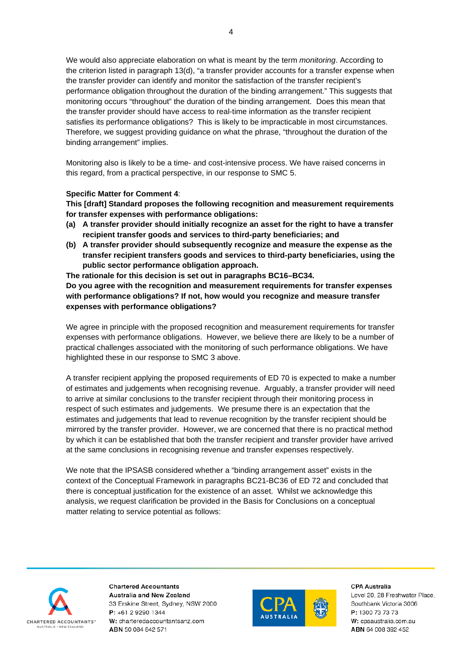We would also appreciate elaboration on what is meant by the term *monitoring*. According to the criterion listed in paragraph 13(d), "a transfer provider accounts for a transfer expense when the transfer provider can identify and monitor the satisfaction of the transfer recipient's performance obligation throughout the duration of the binding arrangement." This suggests that monitoring occurs "throughout" the duration of the binding arrangement. Does this mean that the transfer provider should have access to real-time information as the transfer recipient satisfies its performance obligations? This is likely to be impracticable in most circumstances. Therefore, we suggest providing guidance on what the phrase, "throughout the duration of the binding arrangement" implies.

Monitoring also is likely to be a time- and cost-intensive process. We have raised concerns in this regard, from a practical perspective, in our response to SMC 5.

## **Specific Matter for Comment 4**:

**This [draft] Standard proposes the following recognition and measurement requirements for transfer expenses with performance obligations:**

- **(a) A transfer provider should initially recognize an asset for the right to have a transfer recipient transfer goods and services to third-party beneficiaries; and**
- **(b) A transfer provider should subsequently recognize and measure the expense as the transfer recipient transfers goods and services to third-party beneficiaries, using the public sector performance obligation approach.**

**The rationale for this decision is set out in paragraphs BC16–BC34. Do you agree with the recognition and measurement requirements for transfer expenses with performance obligations? If not, how would you recognize and measure transfer expenses with performance obligations?** 

We agree in principle with the proposed recognition and measurement requirements for transfer expenses with performance obligations. However, we believe there are likely to be a number of practical challenges associated with the monitoring of such performance obligations. We have highlighted these in our response to SMC 3 above.

A transfer recipient applying the proposed requirements of ED 70 is expected to make a number of estimates and judgements when recognising revenue. Arguably, a transfer provider will need to arrive at similar conclusions to the transfer recipient through their monitoring process in respect of such estimates and judgements. We presume there is an expectation that the estimates and judgements that lead to revenue recognition by the transfer recipient should be mirrored by the transfer provider. However, we are concerned that there is no practical method by which it can be established that both the transfer recipient and transfer provider have arrived at the same conclusions in recognising revenue and transfer expenses respectively.

We note that the IPSASB considered whether a "binding arrangement asset" exists in the context of the Conceptual Framework in paragraphs BC21-BC36 of ED 72 and concluded that there is conceptual justification for the existence of an asset. Whilst we acknowledge this analysis, we request clarification be provided in the Basis for Conclusions on a conceptual matter relating to service potential as follows:



**Chartered Accountants Australia and New Zealand** 33 Erskine Street, Sydney, NSW 2000 P: +61 2 9290 1344 W: charteredaccountantsanz.com ABN 50 084 642 571



**CPA Australia**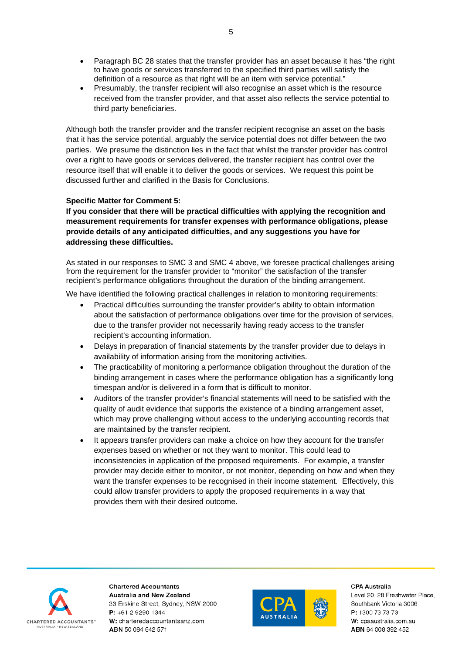- Paragraph BC 28 states that the transfer provider has an asset because it has "the right to have goods or services transferred to the specified third parties will satisfy the definition of a resource as that right will be an item with service potential."
- Presumably, the transfer recipient will also recognise an asset which is the resource received from the transfer provider, and that asset also reflects the service potential to third party beneficiaries.

Although both the transfer provider and the transfer recipient recognise an asset on the basis that it has the service potential, arguably the service potential does not differ between the two parties. We presume the distinction lies in the fact that whilst the transfer provider has control over a right to have goods or services delivered, the transfer recipient has control over the resource itself that will enable it to deliver the goods or services. We request this point be discussed further and clarified in the Basis for Conclusions.

# **Specific Matter for Comment 5:**

**If you consider that there will be practical difficulties with applying the recognition and measurement requirements for transfer expenses with performance obligations, please provide details of any anticipated difficulties, and any suggestions you have for addressing these difficulties.** 

As stated in our responses to SMC 3 and SMC 4 above, we foresee practical challenges arising from the requirement for the transfer provider to "monitor" the satisfaction of the transfer recipient's performance obligations throughout the duration of the binding arrangement.

We have identified the following practical challenges in relation to monitoring requirements:

- Practical difficulties surrounding the transfer provider's ability to obtain information about the satisfaction of performance obligations over time for the provision of services, due to the transfer provider not necessarily having ready access to the transfer recipient's accounting information.
- Delays in preparation of financial statements by the transfer provider due to delays in availability of information arising from the monitoring activities.
- The practicability of monitoring a performance obligation throughout the duration of the binding arrangement in cases where the performance obligation has a significantly long timespan and/or is delivered in a form that is difficult to monitor.
- Auditors of the transfer provider's financial statements will need to be satisfied with the quality of audit evidence that supports the existence of a binding arrangement asset, which may prove challenging without access to the underlying accounting records that are maintained by the transfer recipient.
- It appears transfer providers can make a choice on how they account for the transfer expenses based on whether or not they want to monitor. This could lead to inconsistencies in application of the proposed requirements. For example, a transfer provider may decide either to monitor, or not monitor, depending on how and when they want the transfer expenses to be recognised in their income statement. Effectively, this could allow transfer providers to apply the proposed requirements in a way that provides them with their desired outcome.



**Chartered Accountants Australia and New Zealand** 33 Erskine Street, Sydney, NSW 2000 P: +61 2 9290 1344 W: charteredaccountantsanz.com ABN 50 084 642 571



**CPA Australia**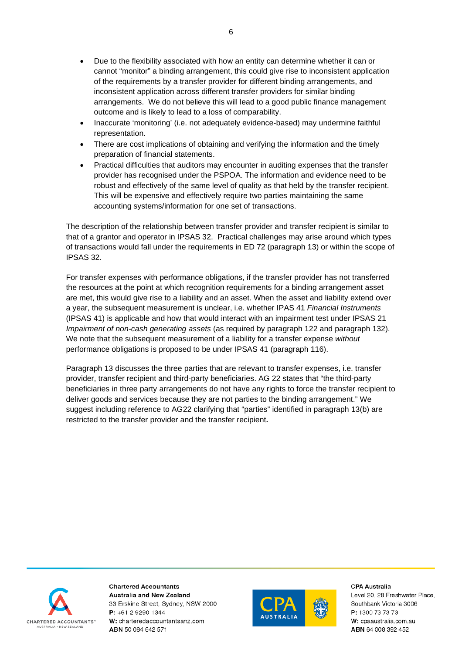- Due to the flexibility associated with how an entity can determine whether it can or cannot "monitor" a binding arrangement, this could give rise to inconsistent application of the requirements by a transfer provider for different binding arrangements, and inconsistent application across different transfer providers for similar binding arrangements. We do not believe this will lead to a good public finance management outcome and is likely to lead to a loss of comparability.
- Inaccurate 'monitoring' (i.e. not adequately evidence-based) may undermine faithful representation.
- There are cost implications of obtaining and verifying the information and the timely preparation of financial statements.
- Practical difficulties that auditors may encounter in auditing expenses that the transfer provider has recognised under the PSPOA. The information and evidence need to be robust and effectively of the same level of quality as that held by the transfer recipient. This will be expensive and effectively require two parties maintaining the same accounting systems/information for one set of transactions.

The description of the relationship between transfer provider and transfer recipient is similar to that of a grantor and operator in IPSAS 32. Practical challenges may arise around which types of transactions would fall under the requirements in ED 72 (paragraph 13) or within the scope of IPSAS 32.

For transfer expenses with performance obligations, if the transfer provider has not transferred the resources at the point at which recognition requirements for a binding arrangement asset are met, this would give rise to a liability and an asset. When the asset and liability extend over a year, the subsequent measurement is unclear, i.e. whether IPAS 41 *Financial Instruments*  (IPSAS 41) is applicable and how that would interact with an impairment test under IPSAS 21 *Impairment of non-cash generating assets* (as required by paragraph 122 and paragraph 132). We note that the subsequent measurement of a liability for a transfer expense *without* performance obligations is proposed to be under IPSAS 41 (paragraph 116).

Paragraph 13 discusses the three parties that are relevant to transfer expenses, i.e. transfer provider, transfer recipient and third-party beneficiaries. AG 22 states that "the third-party beneficiaries in three party arrangements do not have any rights to force the transfer recipient to deliver goods and services because they are not parties to the binding arrangement." We suggest including reference to AG22 clarifying that "parties" identified in paragraph 13(b) are restricted to the transfer provider and the transfer recipient**.**



**Chartered Accountants Australia and New Zealand** 33 Erskine Street, Sydney, NSW 2000 P: +61 2 9290 1344 W: charteredaccountantsanz.com ABN 50 084 642 571



**CPA Australia**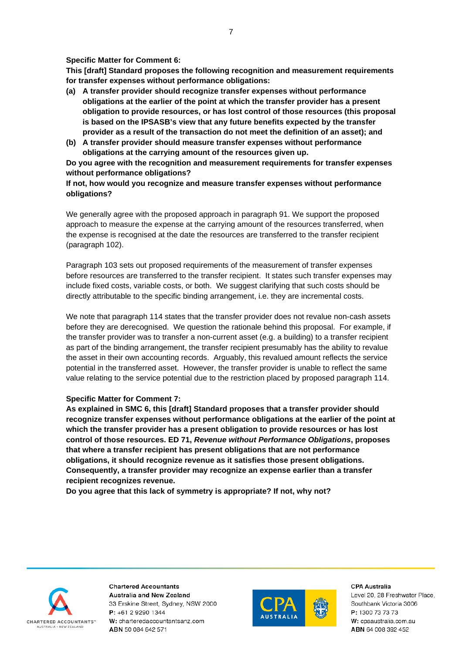#### **Specific Matter for Comment 6:**

**This [draft] Standard proposes the following recognition and measurement requirements for transfer expenses without performance obligations:** 

- **(a) A transfer provider should recognize transfer expenses without performance obligations at the earlier of the point at which the transfer provider has a present obligation to provide resources, or has lost control of those resources (this proposal is based on the IPSASB's view that any future benefits expected by the transfer provider as a result of the transaction do not meet the definition of an asset); and**
- **(b) A transfer provider should measure transfer expenses without performance obligations at the carrying amount of the resources given up.**

**Do you agree with the recognition and measurement requirements for transfer expenses without performance obligations?** 

## **If not, how would you recognize and measure transfer expenses without performance obligations?**

We generally agree with the proposed approach in paragraph 91. We support the proposed approach to measure the expense at the carrying amount of the resources transferred, when the expense is recognised at the date the resources are transferred to the transfer recipient (paragraph 102).

Paragraph 103 sets out proposed requirements of the measurement of transfer expenses before resources are transferred to the transfer recipient. It states such transfer expenses may include fixed costs, variable costs, or both. We suggest clarifying that such costs should be directly attributable to the specific binding arrangement, i.e. they are incremental costs.

We note that paragraph 114 states that the transfer provider does not revalue non-cash assets before they are derecognised. We question the rationale behind this proposal. For example, if the transfer provider was to transfer a non-current asset (e.g. a building) to a transfer recipient as part of the binding arrangement, the transfer recipient presumably has the ability to revalue the asset in their own accounting records. Arguably, this revalued amount reflects the service potential in the transferred asset. However, the transfer provider is unable to reflect the same value relating to the service potential due to the restriction placed by proposed paragraph 114.

### **Specific Matter for Comment 7:**

**As explained in SMC 6, this [draft] Standard proposes that a transfer provider should recognize transfer expenses without performance obligations at the earlier of the point at which the transfer provider has a present obligation to provide resources or has lost control of those resources. ED 71,** *Revenue without Performance Obligations***, proposes that where a transfer recipient has present obligations that are not performance obligations, it should recognize revenue as it satisfies those present obligations. Consequently, a transfer provider may recognize an expense earlier than a transfer recipient recognizes revenue.** 

**Do you agree that this lack of symmetry is appropriate? If not, why not?** 



**Chartered Accountants Australia and New Zealand** 33 Erskine Street, Sydney, NSW 2000  $P: +61292901344$ W: charteredaccountantsanz.com ABN 50 084 642 571



#### **CPA Australia**